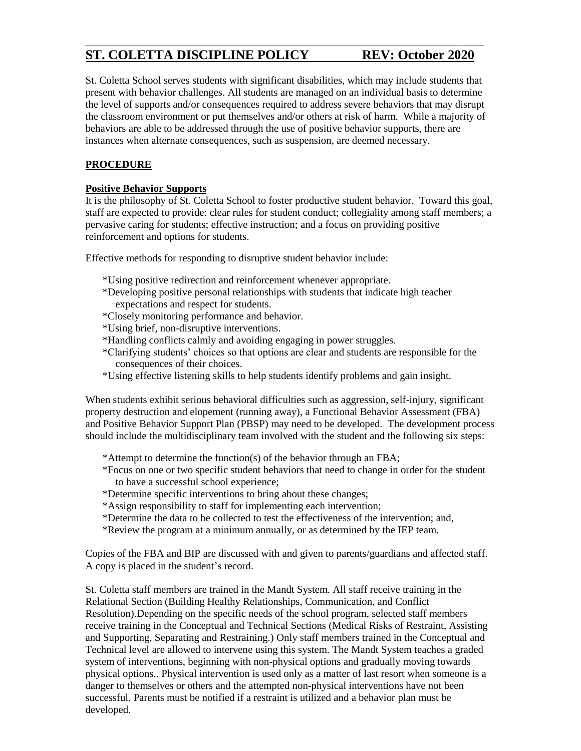# **ST. COLETTA DISCIPLINE POLICY REV: October 2020**

St. Coletta School serves students with significant disabilities, which may include students that present with behavior challenges. All students are managed on an individual basis to determine the level of supports and/or consequences required to address severe behaviors that may disrupt the classroom environment or put themselves and/or others at risk of harm. While a majority of behaviors are able to be addressed through the use of positive behavior supports, there are instances when alternate consequences, such as suspension, are deemed necessary.

**\_\_\_\_\_\_\_\_\_\_\_\_\_\_\_\_\_\_\_\_\_\_\_\_\_\_\_\_\_\_\_\_\_\_\_\_\_\_\_\_\_\_\_\_\_\_\_\_\_\_\_\_\_\_\_\_\_\_\_\_\_\_\_**

# **PROCEDURE**

### **Positive Behavior Supports**

It is the philosophy of St. Coletta School to foster productive student behavior. Toward this goal, staff are expected to provide: clear rules for student conduct; collegiality among staff members; a pervasive caring for students; effective instruction; and a focus on providing positive reinforcement and options for students.

Effective methods for responding to disruptive student behavior include:

- \*Using positive redirection and reinforcement whenever appropriate.
- \*Developing positive personal relationships with students that indicate high teacher expectations and respect for students.
- \*Closely monitoring performance and behavior.
- \*Using brief, non-disruptive interventions.
- \*Handling conflicts calmly and avoiding engaging in power struggles.
- \*Clarifying students' choices so that options are clear and students are responsible for the consequences of their choices.
- \*Using effective listening skills to help students identify problems and gain insight.

When students exhibit serious behavioral difficulties such as aggression, self-injury, significant property destruction and elopement (running away), a Functional Behavior Assessment (FBA) and Positive Behavior Support Plan (PBSP) may need to be developed. The development process should include the multidisciplinary team involved with the student and the following six steps:

- \*Attempt to determine the function(s) of the behavior through an FBA;
- \*Focus on one or two specific student behaviors that need to change in order for the student to have a successful school experience;
- \*Determine specific interventions to bring about these changes;
- \*Assign responsibility to staff for implementing each intervention;
- \*Determine the data to be collected to test the effectiveness of the intervention; and,
- \*Review the program at a minimum annually, or as determined by the IEP team.

Copies of the FBA and BIP are discussed with and given to parents/guardians and affected staff. A copy is placed in the student's record.

St. Coletta staff members are trained in the Mandt System. All staff receive training in the Relational Section (Building Healthy Relationships, Communication, and Conflict Resolution).Depending on the specific needs of the school program, selected staff members receive training in the Conceptual and Technical Sections (Medical Risks of Restraint, Assisting and Supporting, Separating and Restraining.) Only staff members trained in the Conceptual and Technical level are allowed to intervene using this system. The Mandt System teaches a graded system of interventions, beginning with non-physical options and gradually moving towards physical options.. Physical intervention is used only as a matter of last resort when someone is a danger to themselves or others and the attempted non-physical interventions have not been successful. Parents must be notified if a restraint is utilized and a behavior plan must be developed.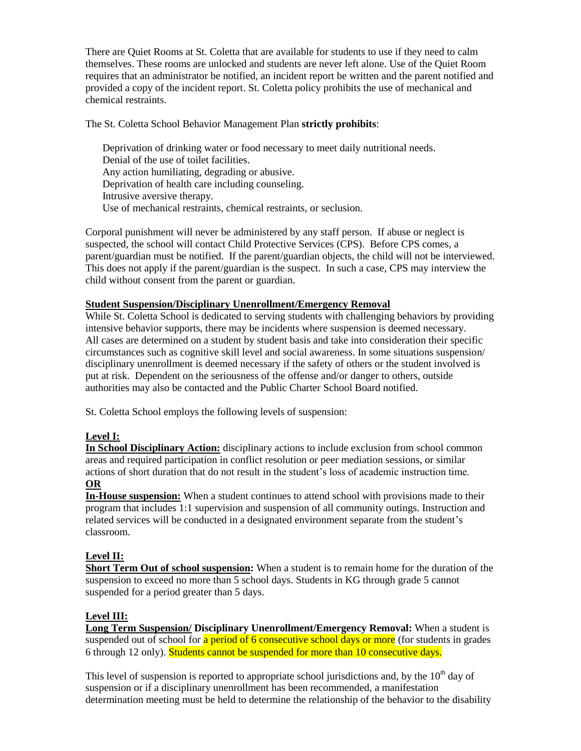There are Quiet Rooms at St. Coletta that are available for students to use if they need to calm themselves. These rooms are unlocked and students are never left alone. Use of the Quiet Room requires that an administrator be notified, an incident report be written and the parent notified and provided a copy of the incident report. St. Coletta policy prohibits the use of mechanical and chemical restraints.

### The St. Coletta School Behavior Management Plan **strictly prohibits**:

Deprivation of drinking water or food necessary to meet daily nutritional needs. Denial of the use of toilet facilities. Any action humiliating, degrading or abusive. Deprivation of health care including counseling. Intrusive aversive therapy. Use of mechanical restraints, chemical restraints, or seclusion.

Corporal punishment will never be administered by any staff person. If abuse or neglect is suspected, the school will contact Child Protective Services (CPS). Before CPS comes, a parent/guardian must be notified. If the parent/guardian objects, the child will not be interviewed. This does not apply if the parent/guardian is the suspect. In such a case, CPS may interview the child without consent from the parent or guardian.

### **Student Suspension/Disciplinary Unenrollment/Emergency Removal**

While St. Coletta School is dedicated to serving students with challenging behaviors by providing intensive behavior supports, there may be incidents where suspension is deemed necessary. All cases are determined on a student by student basis and take into consideration their specific circumstances such as cognitive skill level and social awareness. In some situations suspension/ disciplinary unenrollment is deemed necessary if the safety of others or the student involved is put at risk. Dependent on the seriousness of the offense and/or danger to others, outside authorities may also be contacted and the Public Charter School Board notified.

St. Coletta School employs the following levels of suspension:

## **Level I:**

**In School Disciplinary Action:** disciplinary actions to include exclusion from school common areas and required participation in conflict resolution or peer mediation sessions, or similar actions of short duration that do not result in the student's loss of academic instruction time. **OR**

**In-House suspension:** When a student continues to attend school with provisions made to their program that includes 1:1 supervision and suspension of all community outings. Instruction and related services will be conducted in a designated environment separate from the student's classroom.

## **Level II:**

**Short Term Out of school suspension:** When a student is to remain home for the duration of the suspension to exceed no more than 5 school days. Students in KG through grade 5 cannot suspended for a period greater than 5 days.

## **Level III:**

**Long Term Suspension/ Disciplinary Unenrollment/Emergency Removal:** When a student is suspended out of school for a period of 6 consecutive school days or more (for students in grades 6 through 12 only). Students cannot be suspended for more than 10 consecutive days.

This level of suspension is reported to appropriate school jurisdictions and, by the  $10<sup>th</sup>$  day of suspension or if a disciplinary unenrollment has been recommended, a manifestation determination meeting must be held to determine the relationship of the behavior to the disability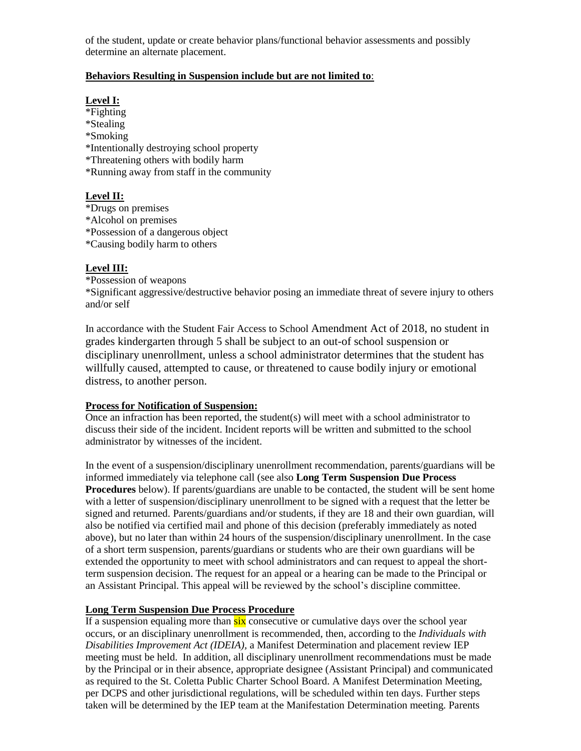of the student, update or create behavior plans/functional behavior assessments and possibly determine an alternate placement.

### **Behaviors Resulting in Suspension include but are not limited to**:

#### **Level I:**

\*Fighting \*Stealing \*Smoking \*Intentionally destroying school property \*Threatening others with bodily harm \*Running away from staff in the community

## **Level II:**

\*Drugs on premises

\*Alcohol on premises

\*Possession of a dangerous object

\*Causing bodily harm to others

## **Level III:**

\*Possession of weapons

\*Significant aggressive/destructive behavior posing an immediate threat of severe injury to others and/or self

In accordance with the Student Fair Access to School Amendment Act of 2018, no student in grades kindergarten through 5 shall be subject to an out-of school suspension or disciplinary unenrollment, unless a school administrator determines that the student has willfully caused, attempted to cause, or threatened to cause bodily injury or emotional distress, to another person.

#### **Process for Notification of Suspension:**

Once an infraction has been reported, the student(s) will meet with a school administrator to discuss their side of the incident. Incident reports will be written and submitted to the school administrator by witnesses of the incident.

In the event of a suspension/disciplinary unenrollment recommendation, parents/guardians will be informed immediately via telephone call (see also **Long Term Suspension Due Process Procedures** below). If parents/guardians are unable to be contacted, the student will be sent home with a letter of suspension/disciplinary unenrollment to be signed with a request that the letter be signed and returned. Parents/guardians and/or students, if they are 18 and their own guardian, will also be notified via certified mail and phone of this decision (preferably immediately as noted above), but no later than within 24 hours of the suspension/disciplinary unenrollment. In the case of a short term suspension, parents/guardians or students who are their own guardians will be extended the opportunity to meet with school administrators and can request to appeal the shortterm suspension decision. The request for an appeal or a hearing can be made to the Principal or an Assistant Principal. This appeal will be reviewed by the school's discipline committee.

## **Long Term Suspension Due Process Procedure**

If a suspension equaling more than  $six$  consecutive or cumulative days over the school year occurs, or an disciplinary unenrollment is recommended, then, according to the *Individuals with Disabilities Improvement Act (IDEIA),* a Manifest Determination and placement review IEP meeting must be held. In addition, all disciplinary unenrollment recommendations must be made by the Principal or in their absence, appropriate designee (Assistant Principal) and communicated as required to the St. Coletta Public Charter School Board. A Manifest Determination Meeting, per DCPS and other jurisdictional regulations, will be scheduled within ten days. Further steps taken will be determined by the IEP team at the Manifestation Determination meeting. Parents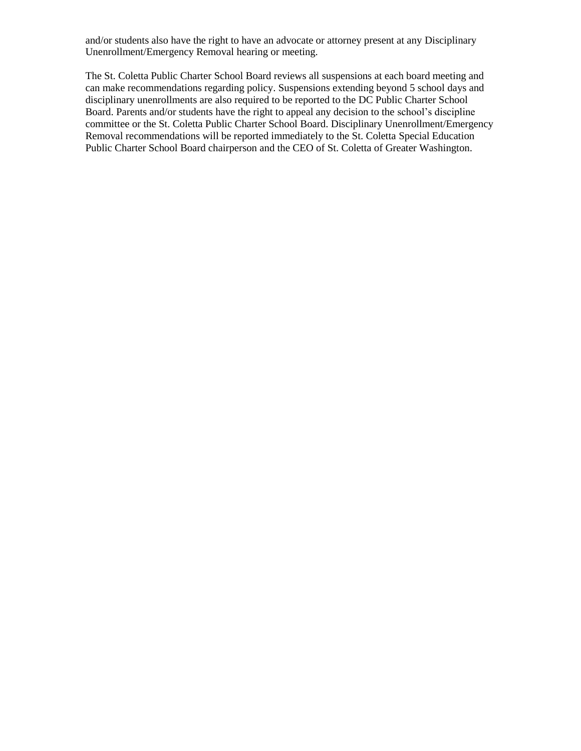and/or students also have the right to have an advocate or attorney present at any Disciplinary Unenrollment/Emergency Removal hearing or meeting.

The St. Coletta Public Charter School Board reviews all suspensions at each board meeting and can make recommendations regarding policy. Suspensions extending beyond 5 school days and disciplinary unenrollments are also required to be reported to the DC Public Charter School Board. Parents and/or students have the right to appeal any decision to the school's discipline committee or the St. Coletta Public Charter School Board. Disciplinary Unenrollment/Emergency Removal recommendations will be reported immediately to the St. Coletta Special Education Public Charter School Board chairperson and the CEO of St. Coletta of Greater Washington.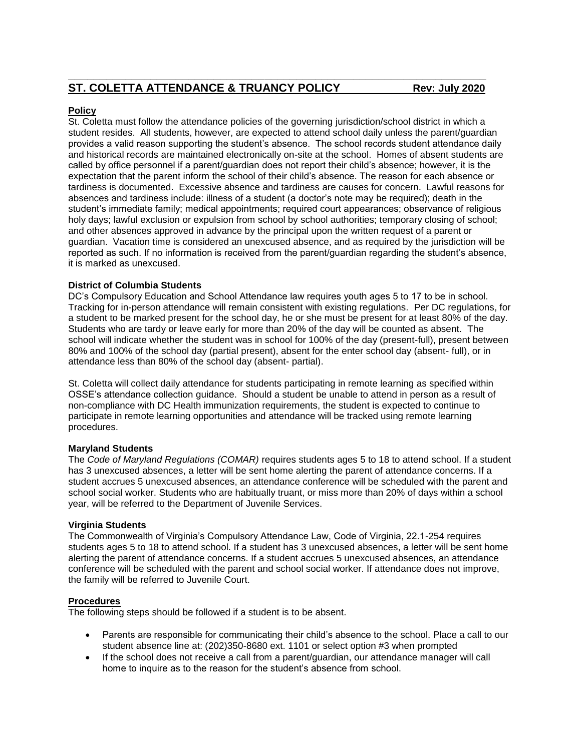#### **Policy**

St. Coletta must follow the attendance policies of the governing jurisdiction/school district in which a student resides. All students, however, are expected to attend school daily unless the parent/guardian provides a valid reason supporting the student's absence. The school records student attendance daily and historical records are maintained electronically on-site at the school. Homes of absent students are called by office personnel if a parent/guardian does not report their child's absence; however, it is the expectation that the parent inform the school of their child's absence. The reason for each absence or tardiness is documented. Excessive absence and tardiness are causes for concern. Lawful reasons for absences and tardiness include: illness of a student (a doctor's note may be required); death in the student's immediate family; medical appointments; required court appearances; observance of religious holy days; lawful exclusion or expulsion from school by school authorities; temporary closing of school; and other absences approved in advance by the principal upon the written request of a parent or guardian. Vacation time is considered an unexcused absence, and as required by the jurisdiction will be reported as such. If no information is received from the parent/guardian regarding the student's absence, it is marked as unexcused.

#### **District of Columbia Students**

DC's Compulsory Education and School Attendance law requires youth ages 5 to 17 to be in school. Tracking for in-person attendance will remain consistent with existing regulations. Per DC regulations, for a student to be marked present for the school day, he or she must be present for at least 80% of the day. Students who are tardy or leave early for more than 20% of the day will be counted as absent. The school will indicate whether the student was in school for 100% of the day (present-full), present between 80% and 100% of the school day (partial present), absent for the enter school day (absent- full), or in attendance less than 80% of the school day (absent- partial).

St. Coletta will collect daily attendance for students participating in remote learning as specified within OSSE's attendance collection guidance. Should a student be unable to attend in person as a result of non-compliance with DC Health immunization requirements, the student is expected to continue to participate in remote learning opportunities and attendance will be tracked using remote learning procedures.

#### **Maryland Students**

The *Code of Maryland Regulations (COMAR)* requires students ages 5 to 18 to attend school. If a student has 3 unexcused absences, a letter will be sent home alerting the parent of attendance concerns. If a student accrues 5 unexcused absences, an attendance conference will be scheduled with the parent and school social worker. Students who are habitually truant, or miss more than 20% of days within a school year, will be referred to the Department of Juvenile Services.

#### **Virginia Students**

The Commonwealth of Virginia's Compulsory Attendance Law, Code of Virginia, 22.1-254 requires students ages 5 to 18 to attend school. If a student has 3 unexcused absences, a letter will be sent home alerting the parent of attendance concerns. If a student accrues 5 unexcused absences, an attendance conference will be scheduled with the parent and school social worker. If attendance does not improve, the family will be referred to Juvenile Court.

#### **Procedures**

The following steps should be followed if a student is to be absent.

- Parents are responsible for communicating their child's absence to the school. Place a call to our student absence line at: (202)350-8680 ext. 1101 or select option #3 when prompted
- If the school does not receive a call from a parent/guardian, our attendance manager will call home to inquire as to the reason for the student's absence from school.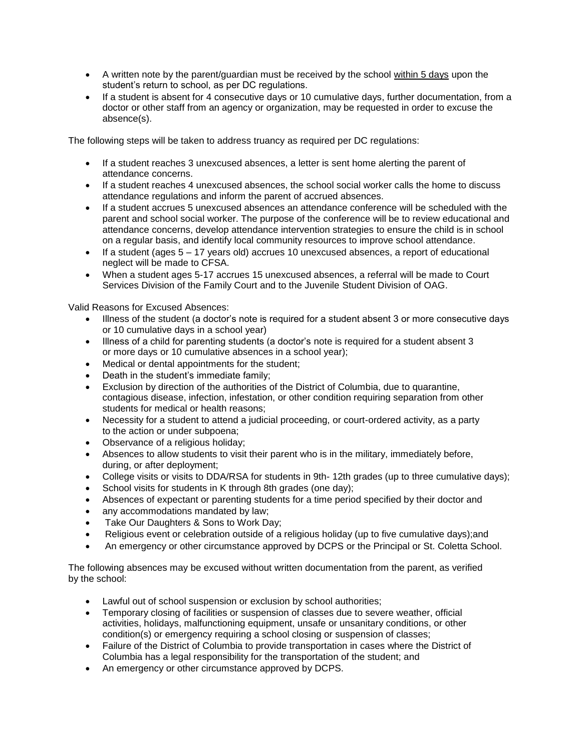- A written note by the parent/guardian must be received by the school within 5 days upon the student's return to school, as per DC regulations.
- If a student is absent for 4 consecutive days or 10 cumulative days, further documentation, from a doctor or other staff from an agency or organization, may be requested in order to excuse the absence(s).

The following steps will be taken to address truancy as required per DC regulations:

- If a student reaches 3 unexcused absences, a letter is sent home alerting the parent of attendance concerns.
- If a student reaches 4 unexcused absences, the school social worker calls the home to discuss attendance regulations and inform the parent of accrued absences.
- If a student accrues 5 unexcused absences an attendance conference will be scheduled with the parent and school social worker. The purpose of the conference will be to review educational and attendance concerns, develop attendance intervention strategies to ensure the child is in school on a regular basis, and identify local community resources to improve school attendance.
- If a student (ages  $5 17$  years old) accrues 10 unexcused absences, a report of educational neglect will be made to CFSA.
- When a student ages 5-17 accrues 15 unexcused absences, a referral will be made to Court Services Division of the Family Court and to the Juvenile Student Division of OAG.

Valid Reasons for Excused Absences:

- Illness of the student (a doctor's note is required for a student absent 3 or more consecutive days or 10 cumulative days in a school year)
- Illness of a child for parenting students (a doctor's note is required for a student absent 3 or more days or 10 cumulative absences in a school year);
- Medical or dental appointments for the student;
- Death in the student's immediate family;
- Exclusion by direction of the authorities of the District of Columbia, due to quarantine, contagious disease, infection, infestation, or other condition requiring separation from other students for medical or health reasons;
- Necessity for a student to attend a judicial proceeding, or court-ordered activity, as a party to the action or under subpoena;
- Observance of a religious holiday;
- Absences to allow students to visit their parent who is in the military, immediately before, during, or after deployment;
- College visits or visits to DDA/RSA for students in 9th-12th grades (up to three cumulative days);
- School visits for students in K through 8th grades (one day);
- Absences of expectant or parenting students for a time period specified by their doctor and
- any accommodations mandated by law;
- Take Our Daughters & Sons to Work Day;
- Religious event or celebration outside of a religious holiday (up to five cumulative days);and
- An emergency or other circumstance approved by DCPS or the Principal or St. Coletta School.

The following absences may be excused without written documentation from the parent, as verified by the school:

- Lawful out of school suspension or exclusion by school authorities;
- Temporary closing of facilities or suspension of classes due to severe weather, official activities, holidays, malfunctioning equipment, unsafe or unsanitary conditions, or other condition(s) or emergency requiring a school closing or suspension of classes;
- Failure of the District of Columbia to provide transportation in cases where the District of Columbia has a legal responsibility for the transportation of the student; and
- An emergency or other circumstance approved by DCPS.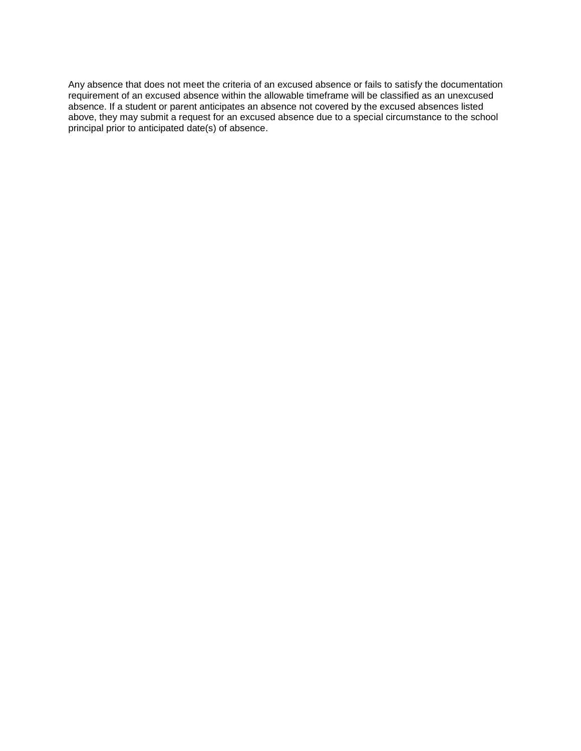Any absence that does not meet the criteria of an excused absence or fails to satisfy the documentation requirement of an excused absence within the allowable timeframe will be classified as an unexcused absence. If a student or parent anticipates an absence not covered by the excused absences listed above, they may submit a request for an excused absence due to a special circumstance to the school principal prior to anticipated date(s) of absence.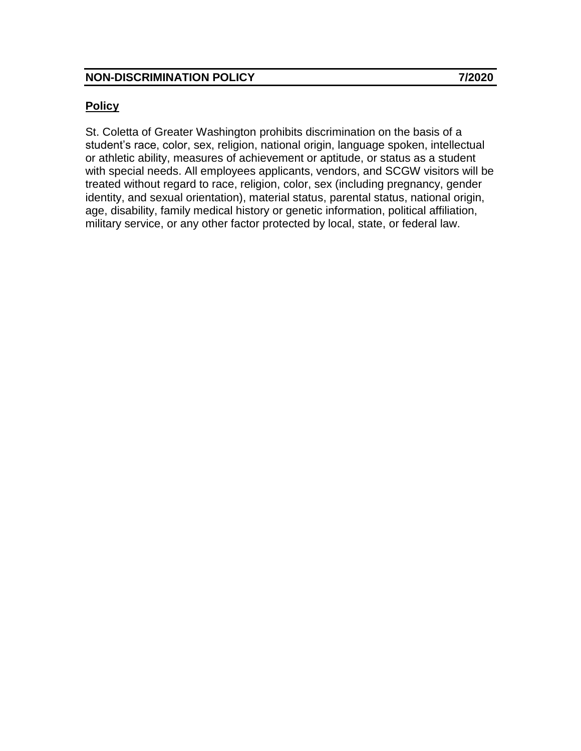# **Policy**

St. Coletta of Greater Washington prohibits discrimination on the basis of a student's race, color, sex, religion, national origin, language spoken, intellectual or athletic ability, measures of achievement or aptitude, or status as a student with special needs. All employees applicants, vendors, and SCGW visitors will be treated without regard to race, religion, color, sex (including pregnancy, gender identity, and sexual orientation), material status, parental status, national origin, age, disability, family medical history or genetic information, political affiliation, military service, or any other factor protected by local, state, or federal law.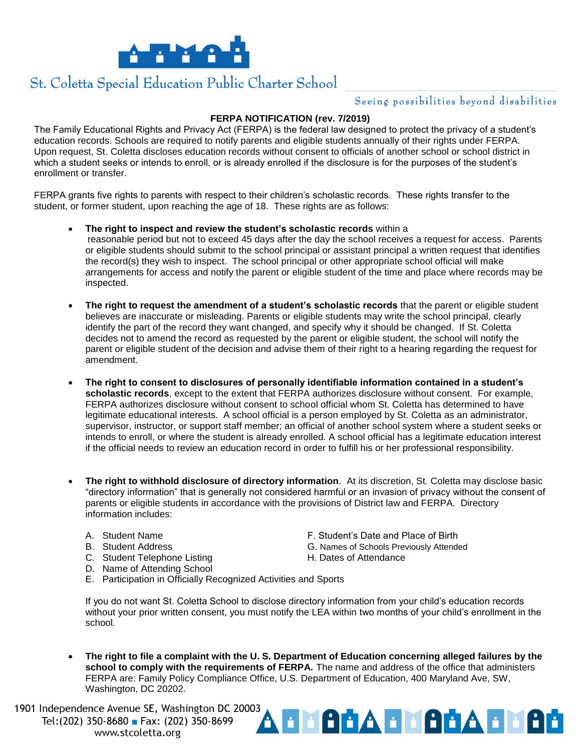

# St. Coletta Special Education Public Charter School

## Seeing possibilities beyond disabilities

#### **FERPA NOTIFICATION (rev. 7/2019)**

The Family Educational Rights and Privacy Act (FERPA) is the federal law designed to protect the privacy of a student's education records. Schools are required to notify parents and eligible students annually of their rights under FERPA. Upon request, St. Coletta discloses education records without consent to officials of another school or school district in which a student seeks or intends to enroll, or is already enrolled if the disclosure is for the purposes of the student's enrollment or transfer.

FERPA grants five rights to parents with respect to their children's scholastic records. These rights transfer to the student, or former student, upon reaching the age of 18. These rights are as follows:

- **The right to inspect and review the student's scholastic records** within a reasonable period but not to exceed 45 days after the day the school receives a request for access. Parents or eligible students should submit to the school principal or assistant principal a written request that identifies the record(s) they wish to inspect. The school principal or other appropriate school official will make arrangements for access and notify the parent or eligible student of the time and place where records may be inspected.
- **The right to request the amendment of a student's scholastic records** that the parent or eligible student believes are inaccurate or misleading. Parents or eligible students may write the school principal, clearly identify the part of the record they want changed, and specify why it should be changed. If St. Coletta decides not to amend the record as requested by the parent or eligible student, the school will notify the parent or eligible student of the decision and advise them of their right to a hearing regarding the request for amendment.
- **The right to consent to disclosures of personally identifiable information contained in a student's scholastic records**, except to the extent that FERPA authorizes disclosure without consent. For example, FERPA authorizes disclosure without consent to school official whom St. Coletta has determined to have legitimate educational interests. A school official is a person employed by St. Coletta as an administrator, supervisor, instructor, or support staff member; an official of another school system where a student seeks or intends to enroll, or where the student is already enrolled. A school official has a legitimate education interest if the official needs to review an education record in order to fulfill his or her professional responsibility.
- **The right to withhold disclosure of directory information**. At its discretion, St. Coletta may disclose basic "directory information" that is generally not considered harmful or an invasion of privacy without the consent of parents or eligible students in accordance with the provisions of District law and FERPA. Directory information includes:
	- A. Student Name **F. Student's Date and Place of Birth**
	-
	- C. Student Telephone Listing Telectrician H. Dates of Attendance
	- D. Name of Attending School
	- B. Student Address **G. Names of Schools Previously Attended**

**REACTES AGGIL** 

- 
- E. Participation in Officially Recognized Activities and Sports

If you do not want St. Coletta School to disclose directory information from your child's education records without your prior written consent, you must notify the LEA within two months of your child's enrollment in the school*.*

 **The right to file a complaint with the U. S. Department of Education concerning alleged failures by the school to comply with the requirements of FERPA.** The name and address of the office that administers FERPA are: Family Policy Compliance Office, U.S. Department of Education, 400 Maryland Ave, SW, Washington, DC 20202.

1901 Independence Avenue SE, Washington DC 20003 Tel: (202) 350-8680 Fax: (202) 350-8699 www.stcoletta.org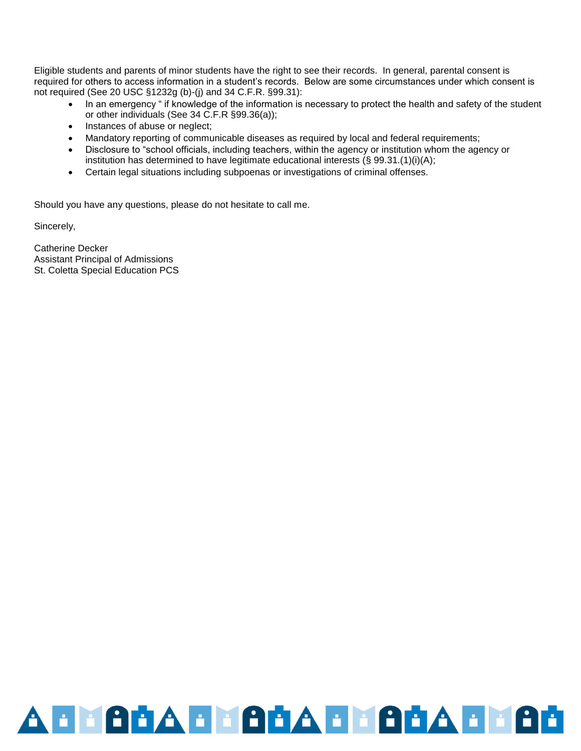Eligible students and parents of minor students have the right to see their records. In general, parental consent is required for others to access information in a student's records. Below are some circumstances under which consent is not required (See 20 USC §1232g (b)-(j) and 34 C.F.R. §99.31):

- In an emergency " if knowledge of the information is necessary to protect the health and safety of the student or other individuals (See 34 C.F.R §99.36(a));
- Instances of abuse or neglect;
- Mandatory reporting of communicable diseases as required by local and federal requirements;
- Disclosure to "school officials, including teachers, within the agency or institution whom the agency or institution has determined to have legitimate educational interests (§ 99.31.(1)(i)(A);
- Certain legal situations including subpoenas or investigations of criminal offenses.

Should you have any questions, please do not hesitate to call me.

Sincerely,

Catherine Decker Assistant Principal of Admissions St. Coletta Special Education PCS

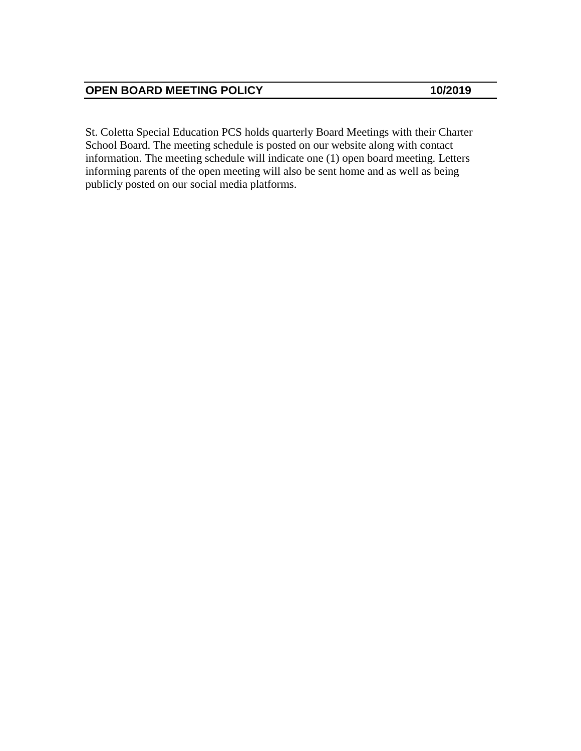St. Coletta Special Education PCS holds quarterly Board Meetings with their Charter School Board. The meeting schedule is posted on our website along with contact information. The meeting schedule will indicate one (1) open board meeting. Letters informing parents of the open meeting will also be sent home and as well as being publicly posted on our social media platforms.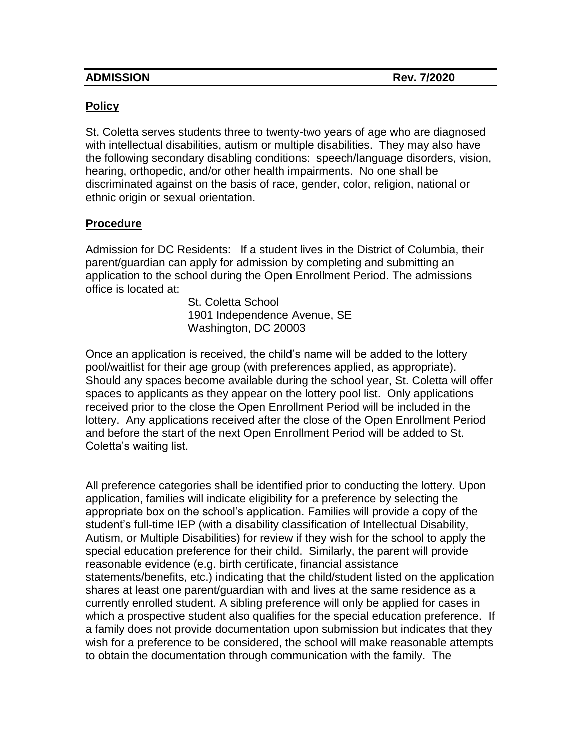| <b>ADMISSION</b> |  |
|------------------|--|
|                  |  |

# **Policy**

St. Coletta serves students three to twenty-two years of age who are diagnosed with intellectual disabilities, autism or multiple disabilities. They may also have the following secondary disabling conditions: speech/language disorders, vision, hearing, orthopedic, and/or other health impairments. No one shall be discriminated against on the basis of race, gender, color, religion, national or ethnic origin or sexual orientation.

# **Procedure**

Admission for DC Residents: If a student lives in the District of Columbia, their parent/guardian can apply for admission by completing and submitting an application to the school during the Open Enrollment Period. The admissions office is located at:

> St. Coletta School 1901 Independence Avenue, SE Washington, DC 20003

Once an application is received, the child's name will be added to the lottery pool/waitlist for their age group (with preferences applied, as appropriate). Should any spaces become available during the school year, St. Coletta will offer spaces to applicants as they appear on the lottery pool list. Only applications received prior to the close the Open Enrollment Period will be included in the lottery. Any applications received after the close of the Open Enrollment Period and before the start of the next Open Enrollment Period will be added to St. Coletta's waiting list.

All preference categories shall be identified prior to conducting the lottery. Upon application, families will indicate eligibility for a preference by selecting the appropriate box on the school's application. Families will provide a copy of the student's full-time IEP (with a disability classification of Intellectual Disability, Autism, or Multiple Disabilities) for review if they wish for the school to apply the special education preference for their child. Similarly, the parent will provide reasonable evidence (e.g. birth certificate, financial assistance statements/benefits, etc.) indicating that the child/student listed on the application shares at least one parent/guardian with and lives at the same residence as a currently enrolled student. A sibling preference will only be applied for cases in which a prospective student also qualifies for the special education preference. If a family does not provide documentation upon submission but indicates that they wish for a preference to be considered, the school will make reasonable attempts to obtain the documentation through communication with the family. The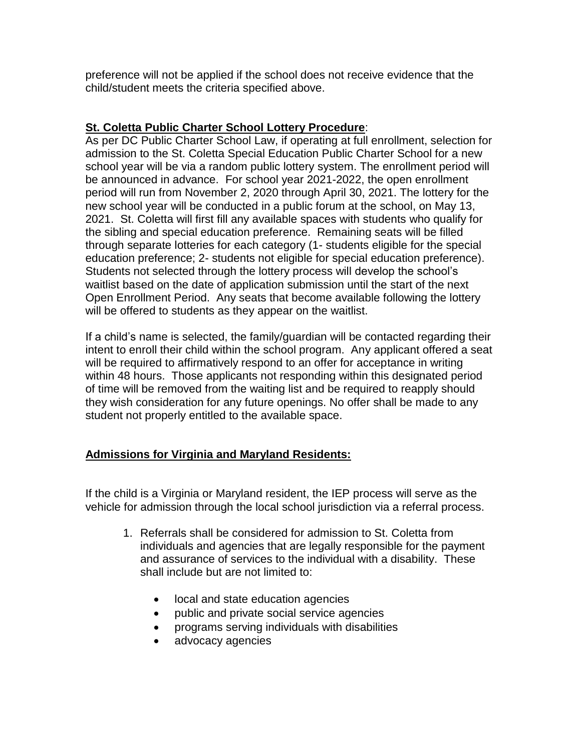preference will not be applied if the school does not receive evidence that the child/student meets the criteria specified above.

# **St. Coletta Public Charter School Lottery Procedure**:

As per DC Public Charter School Law, if operating at full enrollment, selection for admission to the St. Coletta Special Education Public Charter School for a new school year will be via a random public lottery system. The enrollment period will be announced in advance. For school year 2021-2022, the open enrollment period will run from November 2, 2020 through April 30, 2021. The lottery for the new school year will be conducted in a public forum at the school, on May 13, 2021. St. Coletta will first fill any available spaces with students who qualify for the sibling and special education preference. Remaining seats will be filled through separate lotteries for each category (1- students eligible for the special education preference; 2- students not eligible for special education preference). Students not selected through the lottery process will develop the school's waitlist based on the date of application submission until the start of the next Open Enrollment Period. Any seats that become available following the lottery will be offered to students as they appear on the waitlist.

If a child's name is selected, the family/guardian will be contacted regarding their intent to enroll their child within the school program. Any applicant offered a seat will be required to affirmatively respond to an offer for acceptance in writing within 48 hours. Those applicants not responding within this designated period of time will be removed from the waiting list and be required to reapply should they wish consideration for any future openings. No offer shall be made to any student not properly entitled to the available space.

# **Admissions for Virginia and Maryland Residents:**

If the child is a Virginia or Maryland resident, the IEP process will serve as the vehicle for admission through the local school jurisdiction via a referral process.

- 1. Referrals shall be considered for admission to St. Coletta from individuals and agencies that are legally responsible for the payment and assurance of services to the individual with a disability. These shall include but are not limited to:
	- local and state education agencies
	- public and private social service agencies
	- programs serving individuals with disabilities
	- advocacy agencies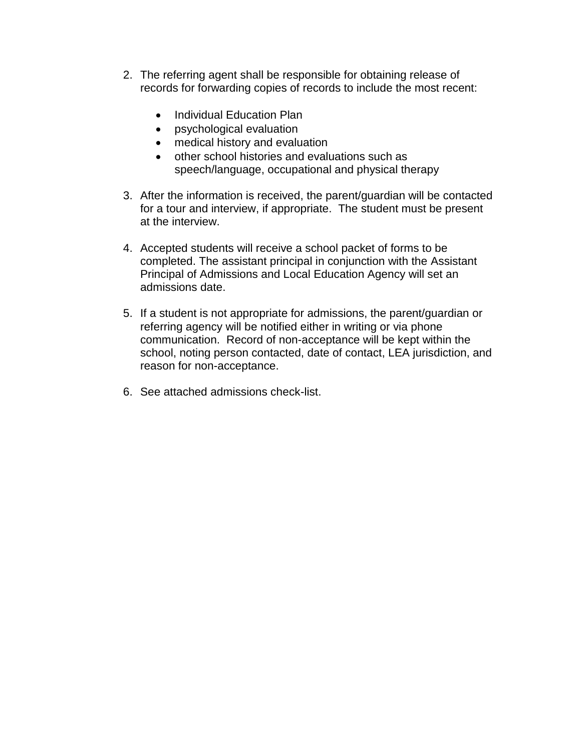- 2. The referring agent shall be responsible for obtaining release of records for forwarding copies of records to include the most recent:
	- Individual Education Plan
	- psychological evaluation
	- medical history and evaluation
	- other school histories and evaluations such as speech/language, occupational and physical therapy
- 3. After the information is received, the parent/guardian will be contacted for a tour and interview, if appropriate. The student must be present at the interview.
- 4. Accepted students will receive a school packet of forms to be completed. The assistant principal in conjunction with the Assistant Principal of Admissions and Local Education Agency will set an admissions date.
- 5. If a student is not appropriate for admissions, the parent/guardian or referring agency will be notified either in writing or via phone communication. Record of non-acceptance will be kept within the school, noting person contacted, date of contact, LEA jurisdiction, and reason for non-acceptance.
- 6. See attached admissions check-list.